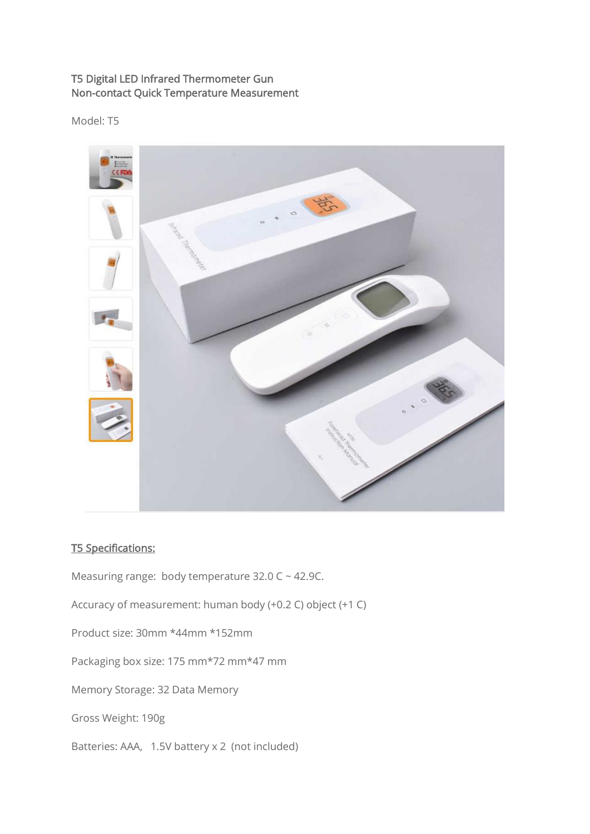## T5 Digital LED Infrared Thermometer Gun Non-contact Quick Temperature Measurement

Model: T5



## T5 Specifications:

Measuring range: body temperature 32.0 C ~ 42.9C.

Accuracy of measurement: human body (+0.2 C) object (+1 C)

Product size: 30mm \*44mm \*152mm

Packaging box size: 175 mm\*72 mm\*47 mm

Memory Storage: 32 Data Memory

Gross Weight: 190g

Batteries: AAA, 1.5V battery x 2 (not included)